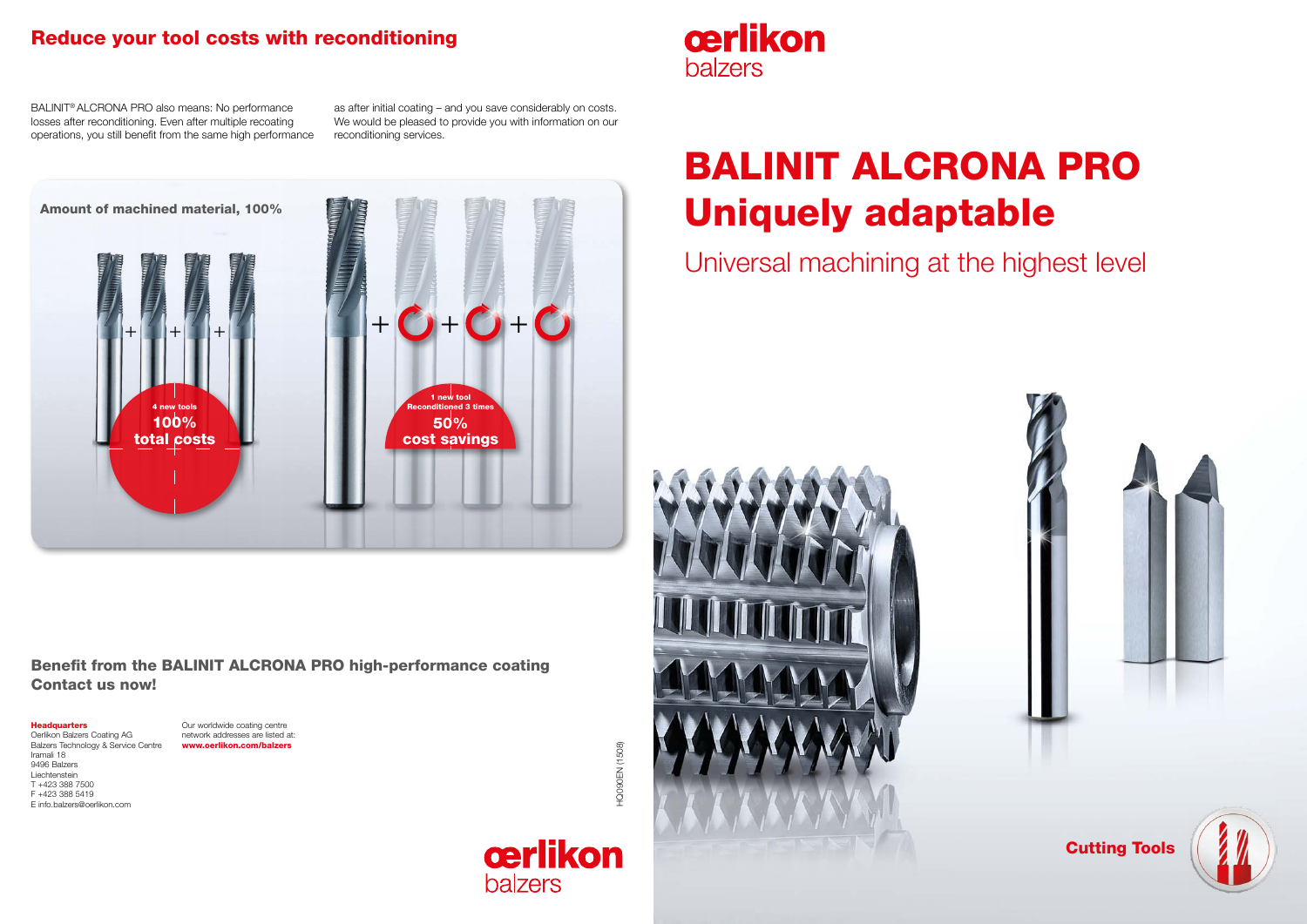



# BALINIT ALCRONA PRO Uniquely adaptable Universal machining at the highest level



#### Headquarters

Oerlikon Balzers Coating AG Balzers Technology & Service Centre Iramali 18 9496 Balzers Liechtenstein T +423 388 7500 F +423 388 5419 E info.balzers@oerlikon.com

**HOOODEN** (1508) HQ090EN (1508)





Our worldwide coating centre network addresses are listed at: www.oerlikon.com/balzers

cerlikon **balzers** 

#### Benefit from the BALINIT ALCRONA PRO high-performance coating Contact us now!

## Reduce your tool costs with reconditioning

BALINIT® ALCRONA PRO also means: No performance losses after reconditioning. Even after multiple recoating operations, you still benefit from the same high performance

as after initial coating – and you save considerably on costs. We would be pleased to provide you with information on our reconditioning services.